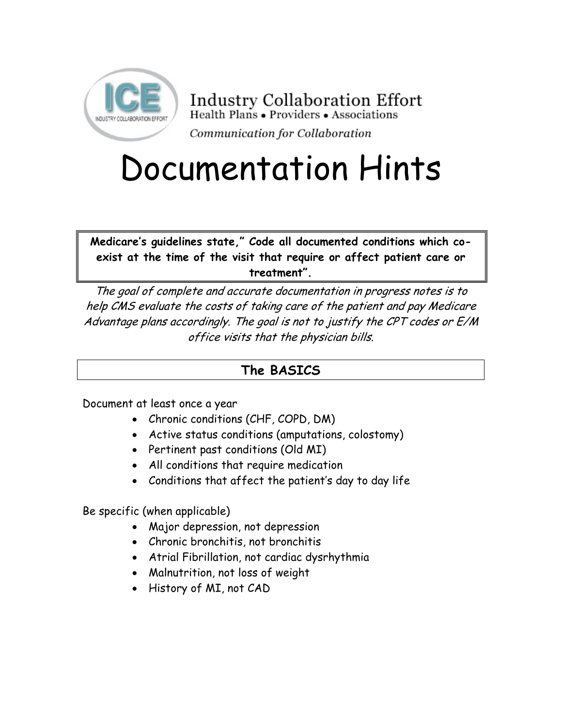

**Industry Collaboration Effort** Health Plans • Providers • Associations Communication for Collaboration

# Documentation Hints

**Medicare's guidelines state," Code all documented conditions which coexist at the time of the visit that require or affect patient care or treatment".** 

The goal of complete and accurate documentation in progress notes is to help CMS evaluate the costs of taking care of the patient and pay Medicare Advantage plans accordingly. The goal is not to justify the CPT codes or E/M office visits that the physician bills.

# **The BASICS**

Document at least once a year

- Chronic conditions (CHF, COPD, DM)
- Active status conditions (amputations, colostomy)
- Pertinent past conditions (Old MI)
- All conditions that require medication
- Conditions that affect the patient's day to day life

Be specific (when applicable)

- Major depression, not depression
- Chronic bronchitis, not bronchitis
- Atrial Fibrillation, not cardiac dysrhythmia
- Malnutrition, not loss of weight
- History of MI, not CAD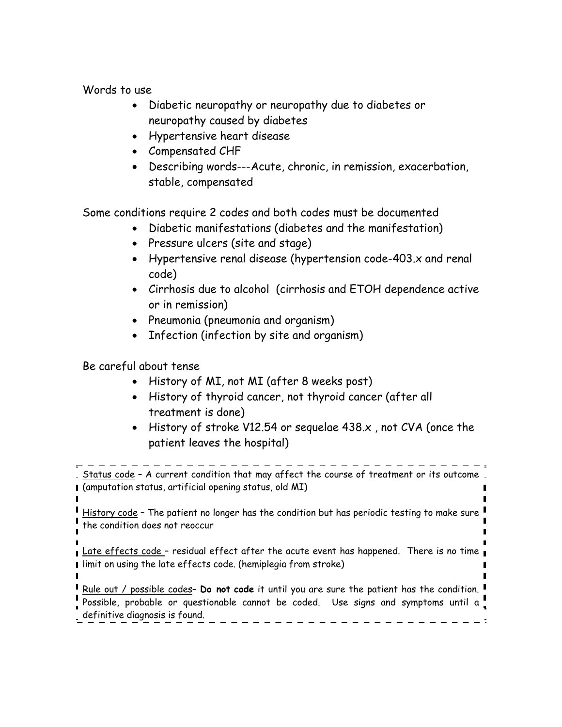Words to use

- Diabetic neuropathy or neuropathy due to diabetes or neuropathy caused by diabetes
- Hypertensive heart disease
- Compensated CHF
- Describing words---Acute, chronic, in remission, exacerbation, stable, compensated

Some conditions require 2 codes and both codes must be documented

- Diabetic manifestations (diabetes and the manifestation)
- Pressure ulcers (site and stage)
- Hypertensive renal disease (hypertension code-403.x and renal code)
- Cirrhosis due to alcohol (cirrhosis and ETOH dependence active or in remission)
- Pneumonia (pneumonia and organism)
- Infection (infection by site and organism)

Be careful about tense

- History of MI, not MI (after 8 weeks post)
- History of thyroid cancer, not thyroid cancer (after all treatment is done)
- History of stroke V12.54 or sequelae 438.x , not CVA (once the patient leaves the hospital)

Status code - A current condition that may affect the course of treatment or its outcome (amputation status, artificial opening status, old MI)

History code - The patient no longer has the condition but has periodic testing to make sure the condition does not reoccur

Late effects code - residual effect after the acute event has happened. There is no time I limit on using the late effects code. (hemiplegia from stroke)

Rule out / possible codes– **Do not code** it until you are sure the patient has the condition.

Possible, probable or questionable cannot be coded. Use signs and symptoms until a definitive diagnosis is found.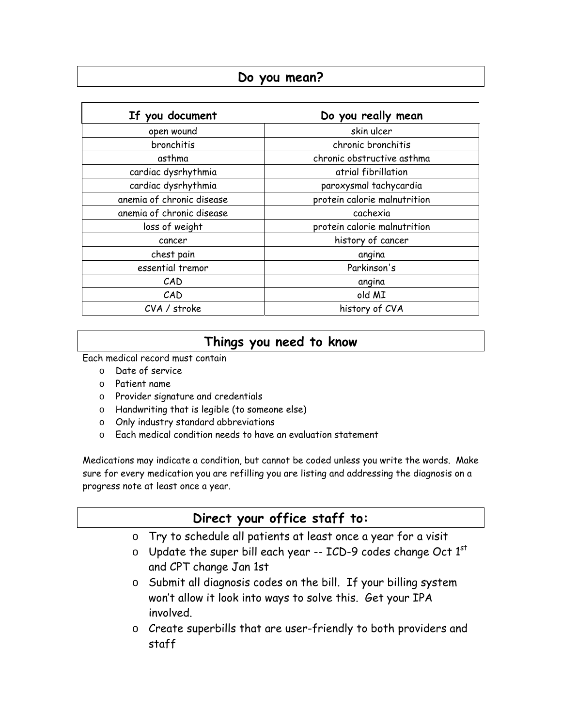## **Do you mean?**

| If you document           | Do you really mean           |  |  |
|---------------------------|------------------------------|--|--|
| open wound                | skin ulcer                   |  |  |
| bronchitis                | chronic bronchitis           |  |  |
| asthma                    | chronic obstructive asthma   |  |  |
| cardiac dysrhythmia       | atrial fibrillation          |  |  |
| cardiac dysrhythmia       | paroxysmal tachycardia       |  |  |
| anemia of chronic disease | protein calorie malnutrition |  |  |
| anemia of chronic disease | cachexia                     |  |  |
| loss of weight            | protein calorie malnutrition |  |  |
| cancer                    | history of cancer            |  |  |
| chest pain                | angina                       |  |  |
| essential tremor          | Parkinson's                  |  |  |
| CAD                       | angina                       |  |  |
| CAD                       | old MI                       |  |  |
| CVA / stroke              | history of CVA               |  |  |

# **Things you need to know**

Each medical record must contain

- o Date of service
- o Patient name
- o Provider signature and credentials
- o Handwriting that is legible (to someone else)
- o Only industry standard abbreviations
- o Each medical condition needs to have an evaluation statement

Medications may indicate a condition, but cannot be coded unless you write the words. Make sure for every medication you are refilling you are listing and addressing the diagnosis on a progress note at least once a year.

## **Direct your office staff to:**

- o Try to schedule all patients at least once a year for a visit
- $\circ$  Update the super bill each year -- ICD-9 codes change Oct 1st and CPT change Jan 1st
- o Submit all diagnosis codes on the bill. If your billing system won't allow it look into ways to solve this. Get your IPA involved.
- o Create superbills that are user-friendly to both providers and staff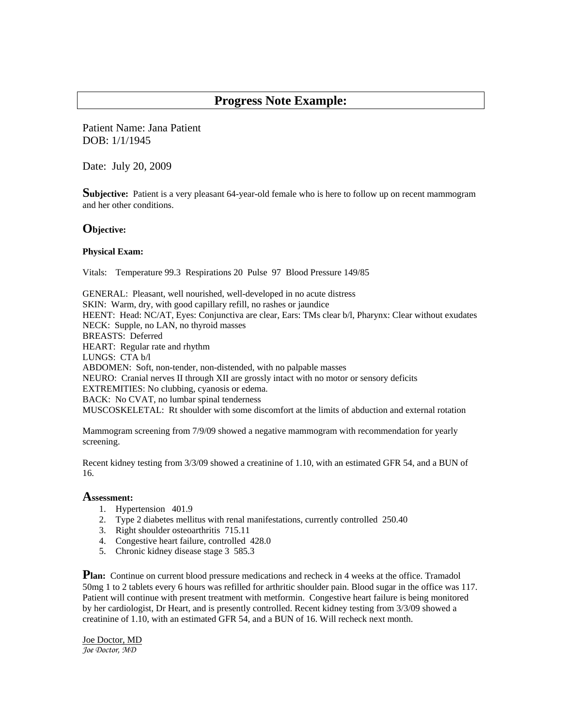### **Progress Note Example:**

Patient Name: Jana Patient DOB: 1/1/1945

Date: July 20, 2009

**Subjective:** Patient is a very pleasant 64-year-old female who is here to follow up on recent mammogram and her other conditions.

#### **Objective:**

#### **Physical Exam:**

Vitals: Temperature 99.3 Respirations 20 Pulse 97 Blood Pressure 149/85

GENERAL: Pleasant, well nourished, well-developed in no acute distress SKIN: Warm, dry, with good capillary refill, no rashes or jaundice HEENT: Head: NC/AT, Eyes: Conjunctiva are clear, Ears: TMs clear b/l, Pharynx: Clear without exudates NECK: Supple, no LAN, no thyroid masses BREASTS: Deferred HEART: Regular rate and rhythm LUNGS: CTA b/l ABDOMEN: Soft, non-tender, non-distended, with no palpable masses NEURO: Cranial nerves II through XII are grossly intact with no motor or sensory deficits EXTREMITIES: No clubbing, cyanosis or edema. BACK: No CVAT, no lumbar spinal tenderness MUSCOSKELETAL: Rt shoulder with some discomfort at the limits of abduction and external rotation

Mammogram screening from 7/9/09 showed a negative mammogram with recommendation for yearly screening.

Recent kidney testing from 3/3/09 showed a creatinine of 1.10, with an estimated GFR 54, and a BUN of 16.

#### **Assessment:**

- 1. Hypertension 401.9
- 2. Type 2 diabetes mellitus with renal manifestations, currently controlled 250.40
- 3. Right shoulder osteoarthritis 715.11
- 4. Congestive heart failure, controlled 428.0
- 5. Chronic kidney disease stage 3 585.3

**Plan:** Continue on current blood pressure medications and recheck in 4 weeks at the office. Tramadol 50mg 1 to 2 tablets every 6 hours was refilled for arthritic shoulder pain. Blood sugar in the office was 117. Patient will continue with present treatment with metformin. Congestive heart failure is being monitored by her cardiologist, Dr Heart, and is presently controlled. Recent kidney testing from 3/3/09 showed a creatinine of 1.10, with an estimated GFR 54, and a BUN of 16. Will recheck next month.

Joe Doctor, MD *Joe Doctor, MD*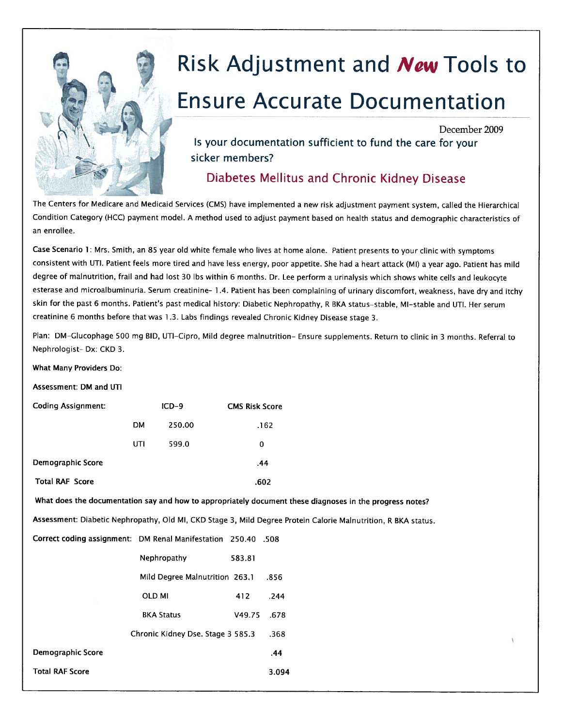

# Risk Adjustment and New Tools to

# **Ensure Accurate Documentation**

December 2009

Is your documentation sufficient to fund the care for your sicker members?

Diabetes Mellitus and Chronic Kidney Disease

The Centers for Medicare and Medicaid Services (CMS) have implemented a new risk adjustment payment system, called the Hierarchical Condition Category (HCC) payment model. A method used to adjust payment based on health status and demographic characteristics of an enrollee.

Case Scenario 1: Mrs. Smith, an 85 year old white female who lives at home alone. Patient presents to your clinic with symptoms consistent with UTI. Patient feels more tired and have less energy, poor appetite. She had a heart attack (MI) a year ago. Patient has mild degree of malnutrition, frail and had lost 30 lbs within 6 months. Dr. Lee perform a urinalysis which shows white cells and leukocyte esterase and microalbuminuria. Serum creatinine- 1.4. Patient has been complaining of urinary discomfort, weakness, have dry and itchy skin for the past 6 months. Patient's past medical history: Diabetic Nephropathy, R BKA status-stable, MI-stable and UTI. Her serum creatinine 6 months before that was 1.3. Labs findings revealed Chronic Kidney Disease stage 3.

Plan: DM-Glucophage 500 mg BID, UTI-Cipro, Mild degree malnutrition- Ensure supplements. Return to clinic in 3 months. Referral to Nephrologist-Dx: CKD 3.

What Many Providers Do:

Assessment: DM and UTI

| <b>Coding Assignment:</b>                                     |               | $ICD-9$                           |        | <b>CMS Risk Score</b>                                                                                          |
|---------------------------------------------------------------|---------------|-----------------------------------|--------|----------------------------------------------------------------------------------------------------------------|
|                                                               | <b>DM</b>     | 250.00                            |        | .162                                                                                                           |
|                                                               | UTI           | 599.0                             | 0      |                                                                                                                |
| Demographic Score                                             |               |                                   |        | .44                                                                                                            |
| <b>Total RAF Score</b>                                        |               |                                   |        | .602                                                                                                           |
|                                                               |               |                                   |        | What does the documentation say and how to appropriately document these diagnoses in the progress notes?       |
|                                                               |               |                                   |        | Assessment: Diabetic Nephropathy, Old MI, CKD Stage 3, Mild Degree Protein Calorie Malnutrition, R BKA status. |
| Correct coding assignment: DM Renal Manifestation 250.40 .508 |               |                                   |        |                                                                                                                |
|                                                               |               | Nephropathy                       | 583.81 |                                                                                                                |
|                                                               |               | Mild Degree Malnutrition 263.1    |        | .856                                                                                                           |
|                                                               | <b>OLD MI</b> |                                   | 412    | .244                                                                                                           |
|                                                               |               | <b>BKA Status</b>                 | V49.75 | .678                                                                                                           |
|                                                               |               | Chronic Kidney Dse. Stage 3 585.3 |        | .368                                                                                                           |
| Demographic Score                                             |               |                                   |        | .44                                                                                                            |
| <b>Total RAF Score</b>                                        |               |                                   |        | 3.094                                                                                                          |